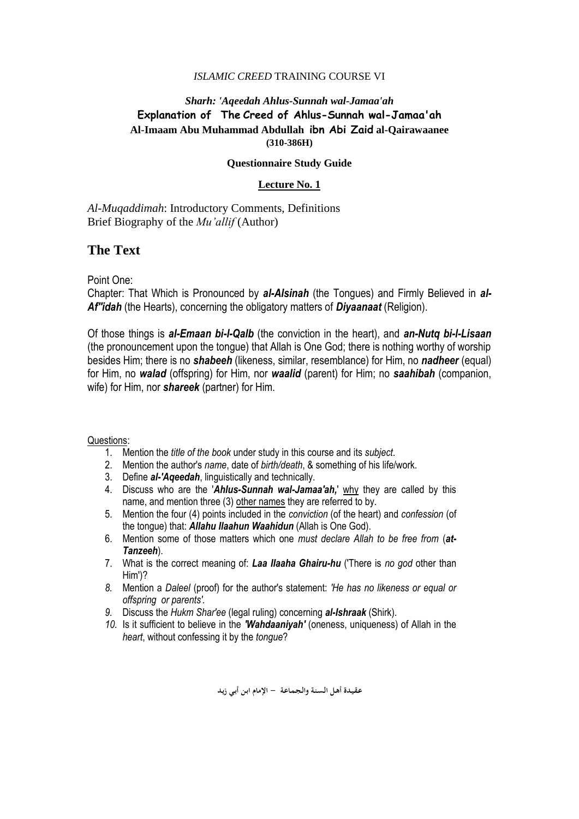# *Sharh: 'Aqeedah Ahlus-Sunnah wal-Jamaa'ah*  **Explanation of The Creed of Ahlus-Sunnah wal-Jamaa'ah Al-Imaam Abu Muhammad Abdullah ibn Abi Zaid al-Qairawaanee (310-386H)**

#### **Questionnaire Study Guide**

#### **Lecture No. 1**

*Al-Muqaddimah*: Introductory Comments, Definitions Brief Biography of the *Mu'allif* (Author)

# **The Text**

Point One:

Chapter: That Which is Pronounced by *al-Alsinah* (the Tongues) and Firmly Believed in *al-Af''idah* (the Hearts), concerning the obligatory matters of *Diyaanaat* (Religion).

Of those things is *al-Emaan bi-l-Qalb* (the conviction in the heart), and *an-Nutq bi-l-Lisaan* (the pronouncement upon the tongue) that Allah is One God; there is nothing worthy of worship besides Him; there is no *shabeeh* (likeness, similar, resemblance) for Him, no *nadheer* (equal) for Him, no *walad* (offspring) for Him, nor *waalid* (parent) for Him; no *saahibah* (companion, wife) for Him, nor *shareek* (partner) for Him.

Questions:

- 1. Mention the *title of the book* under study in this course and its *subject*.
- 2. Mention the author's *name*, date of *birth/death*, & something of his life/work.
- 3. Define *al-'Aqeedah*, linguistically and technically.
- 4. Discuss who are the '*Ahlus-Sunnah wal-Jamaa'ah,*' why they are called by this name, and mention three (3) other names they are referred to by.
- 5. Mention the four (4) points included in the *conviction* (of the heart) and *confession* (of the tongue) that: *Allahu Ilaahun Waahidun* (Allah is One God).
- 6. Mention some of those matters which one *must declare Allah to be free from* (*at-Tanzeeh*).
- 7. What is the correct meaning of: *Laa Ilaaha Ghairu-hu* ('There is *no god* other than Him')?
- *8.* Mention a *Daleel* (proof) for the author's statement: *'He has no likeness or equal or offspring or parents'.*
- *9.* Discuss the *Hukm Shar'ee* (legal ruling) concerning *al-Ishraak* (Shirk).
- *10.* Is it sufficient to believe in the *'Wahdaaniyah'* (oneness, uniqueness) of Allah in the *heart*, without confessing it by the *tongue*?

**عـقـيـدة أهـل الـسـنـة والـجـمـاعـة - اإلمام ابـن أبـي زيـد**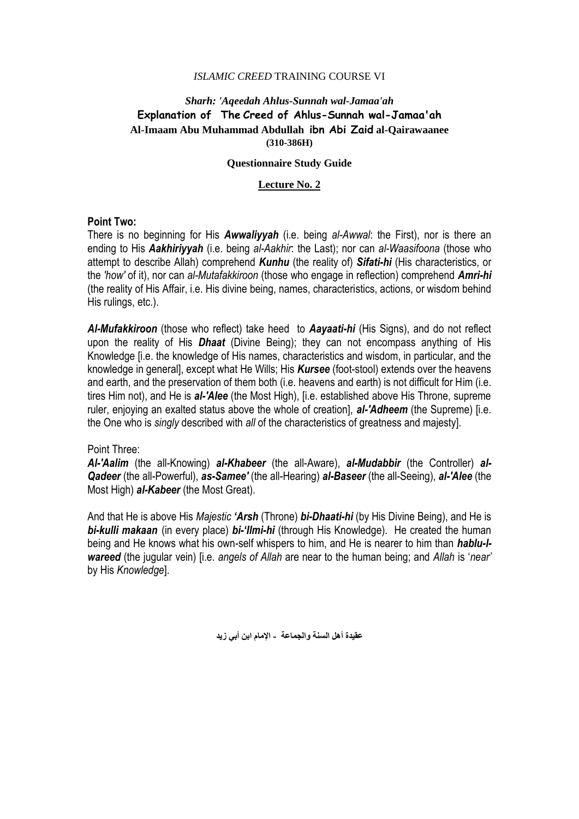### *Sharh: 'Aqeedah Ahlus-Sunnah wal-Jamaa'ah*  **Explanation of The Creed of Ahlus-Sunnah wal-Jamaa'ah Al-Imaam Abu Muhammad Abdullah ibn Abi Zaid al-Qairawaanee (310-386H)**

#### **Questionnaire Study Guide**

### **Lecture No. 2**

### **Point Two:**

There is no beginning for His *Awwaliyyah* (i.e. being *al-Awwal*: the First), nor is there an ending to His *Aakhiriyyah* (i.e. being *al-Aakhir*: the Last); nor can *al-Waasifoona* (those who attempt to describe Allah) comprehend *Kunhu* (the reality of) *Sifati-hi* (His characteristics, or the *'how'* of it), nor can *al-Mutafakkiroon* (those who engage in reflection) comprehend *Amri-hi* (the reality of His Affair, i.e. His divine being, names, characteristics, actions, or wisdom behind His rulings, etc.).

*Al-Mufakkiroon* (those who reflect) take heed to *Aayaati-hi* (His Signs), and do not reflect upon the reality of His *Dhaat* (Divine Being); they can not encompass anything of His Knowledge [i.e. the knowledge of His names, characteristics and wisdom, in particular, and the knowledge in general], except what He Wills; His *Kursee* (foot-stool) extends over the heavens and earth, and the preservation of them both (i.e. heavens and earth) is not difficult for Him (i.e. tires Him not), and He is *al-'Alee* (the Most High), [i.e. established above His Throne, supreme ruler, enjoying an exalted status above the whole of creation], *al-'Adheem* (the Supreme) [i.e. the One who is *singly* described with *all* of the characteristics of greatness and majesty].

### Point Three:

*Al-'Aalim* (the all-Knowing) *al-Khabeer* (the all-Aware), *al-Mudabbir* (the Controller) *al-Qadeer* (the all-Powerful), *as-Samee'* (the all-Hearing) *al-Baseer* (the all-Seeing), *al-'Alee* (the Most High) *al-Kabeer* (the Most Great).

And that He is above His *Majestic 'Arsh* (Throne) *bi-Dhaati-hi* (by His Divine Being), and He is *bi-kulli makaan* (in every place) *bi-'Ilmi-hi* (through His Knowledge). He created the human being and He knows what his own-self whispers to him, and He is nearer to him than *hablu-lwareed* (the jugular vein) [i.e. *angels of Allah* are near to the human being; and *Allah* is "*near"* by His *Knowledge*].

**عقيدة أهل السنة والجماعة - اإلمام ابن أبي زيد**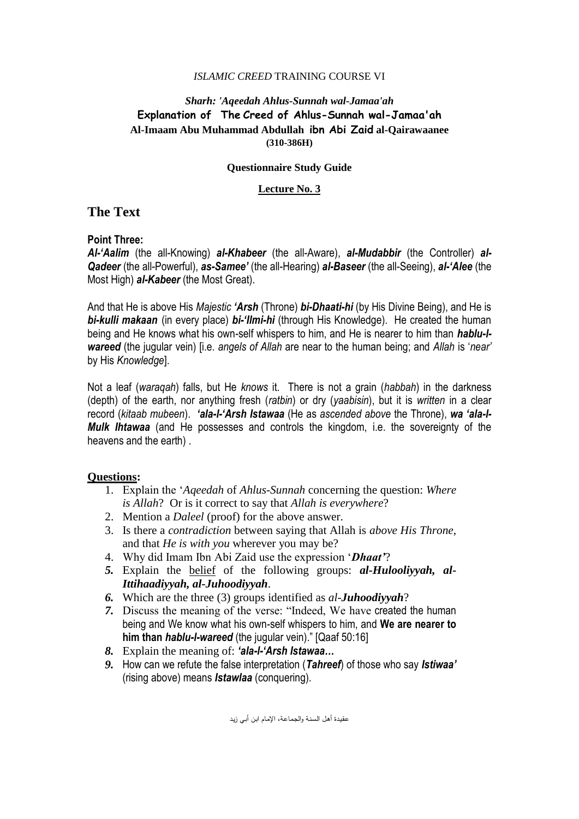# *Sharh: 'Aqeedah Ahlus-Sunnah wal-Jamaa'ah*  **Explanation of The Creed of Ahlus-Sunnah wal-Jamaa'ah Al-Imaam Abu Muhammad Abdullah ibn Abi Zaid al-Qairawaanee (310-386H)**

### **Questionnaire Study Guide**

### **Lecture No. 3**

# **The Text**

### **Point Three:**

*Al-'Aalim* (the all-Knowing) *al-Khabeer* (the all-Aware), *al-Mudabbir* (the Controller) *al-Qadeer* (the all-Powerful), *as-Samee'* (the all-Hearing) *al-Baseer* (the all-Seeing), *al-'Alee* (the Most High) *al-Kabeer* (the Most Great).

And that He is above His *Majestic 'Arsh* (Throne) *bi-Dhaati-hi* (by His Divine Being), and He is *bi-kulli makaan* (in every place) *bi-'Ilmi-hi* (through His Knowledge). He created the human being and He knows what his own-self whispers to him, and He is nearer to him than *hablu-lwareed* (the jugular vein) [i.e. *angels of Allah* are near to the human being; and *Allah* is "*near"* by His *Knowledge*].

Not a leaf (*waraqah*) falls, but He *knows* it. There is not a grain (*habbah*) in the darkness (depth) of the earth, nor anything fresh (*ratbin*) or dry (*yaabisin*), but it is *written* in a clear record (*kitaab mubeen*). *'ala-l-'Arsh Istawaa* (He as *ascended above* the Throne), *wa 'ala-l-Mulk Ihtawaa* (and He possesses and controls the kingdom, i.e. the sovereignty of the heavens and the earth) .

- 1. Explain the "*Aqeedah* of *Ahlus-Sunnah* concerning the question: *Where is Allah*? Or is it correct to say that *Allah is everywhere*?
- 2. Mention a *Daleel* (proof) for the above answer.
- 3. Is there a *contradiction* between saying that Allah is *above His Throne*, and that *He is with you* wherever you may be?
- 4. Why did Imam Ibn Abi Zaid use the expression "*Dhaat'*?
- *5.* Explain the belief of the following groups: *al-Hulooliyyah, al-Ittihaadiyyah, al-Juhoodiyyah*.
- *6.* Which are the three (3) groups identified as *al-Juhoodiyyah*?
- *7.* Discuss the meaning of the verse: "Indeed, We have created the human being and We know what his own-self whispers to him, and **We are nearer to him than** *hablu-l-wareed* (the jugular vein)." [Qaaf 50:16]
- *8.* Explain the meaning of: *'ala-l-'Arsh Istawaa…*
- *9.* How can we refute the false interpretation (*Tahreef*) of those who say *Istiwaa'* (rising above) means *Istawlaa* (conquering).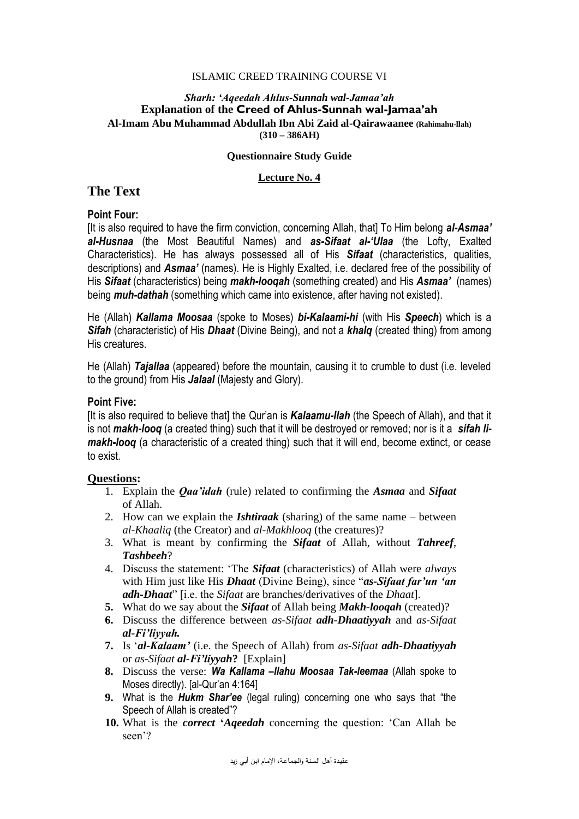### *Sharh: 'Aqeedah Ahlus-Sunnah wal-Jamaa'ah* **Explanation of the Creed of Ahlus-Sunnah wal-Jamaa'ah Al-Imam Abu Muhammad Abdullah Ibn Abi Zaid al-Qairawaanee (Rahimahu-llah) (310 – 386AH)**

#### **Questionnaire Study Guide**

### **Lecture No. 4**

# **The Text**

# **Point Four:**

[It is also required to have the firm conviction, concerning Allah, that] To Him belong *al-Asmaa' al-Husnaa* (the Most Beautiful Names) and *as-Sifaat al-'Ulaa* (the Lofty, Exalted Characteristics). He has always possessed all of His *Sifaat* (characteristics, qualities, descriptions) and *Asmaa'* (names). He is Highly Exalted, i.e. declared free of the possibility of His *Sifaat* (characteristics) being *makh-looqah* (something created) and His *Asmaa'* (names) being *muh-dathah* (something which came into existence, after having not existed).

He (Allah) *Kallama Moosaa* (spoke to Moses) *bi-Kalaami-hi* (with His *Speech*) which is a *Sifah* (characteristic) of His *Dhaat* (Divine Being), and not a *khalq* (created thing) from among His creatures.

He (Allah) *Tajallaa* (appeared) before the mountain, causing it to crumble to dust (i.e. leveled to the ground) from His *Jalaal* (Majesty and Glory).

### **Point Five:**

[It is also required to believe that] the Qur"an is *Kalaamu-llah* (the Speech of Allah), and that it is not *makh-looq* (a created thing) such that it will be destroyed or removed; nor is it a *sifah limakh-looq* (a characteristic of a created thing) such that it will end, become extinct, or cease to exist.

- 1. Explain the *Qaa'idah* (rule) related to confirming the *Asmaa* and *Sifaat* of Allah.
- 2. How can we explain the *Ishtiraak* (sharing) of the same name between *al-Khaaliq* (the Creator) and *al-Makhlooq* (the creatures)?
- 3. What is meant by confirming the *Sifaat* of Allah, without *Tahreef*, *Tashbeeh*?
- 4. Discuss the statement: "The *Sifaat* (characteristics) of Allah were *always*  with Him just like His *Dhaat* (Divine Being), since "*as-Sifaat far'un 'an adh-Dhaat*" [i.e. the *Sifaat* are branches/derivatives of the *Dhaat*].
- **5.** What do we say about the *Sifaat* of Allah being *Makh-looqah* (created)?
- **6.** Discuss the difference between *as-Sifaat adh-Dhaatiyyah* and *as-Sifaat al-Fi'liyyah.*
- **7.** Is "*al-Kalaam'* (i.e. the Speech of Allah) from *as-Sifaat adh-Dhaatiyyah* or *as-Sifaat al-Fi'liyyah***?** [Explain]
- **8.** Discuss the verse: *Wa Kallama –llahu Moosaa Tak-leemaa* (Allah spoke to Moses directly). [al-Qur'an 4:164]
- **9.** What is the *Hukm Shar'ee* (legal ruling) concerning one who says that "the Speech of Allah is created"?
- **10.** What is the *correct* **'***Aqeedah* concerning the question: "Can Allah be seen"?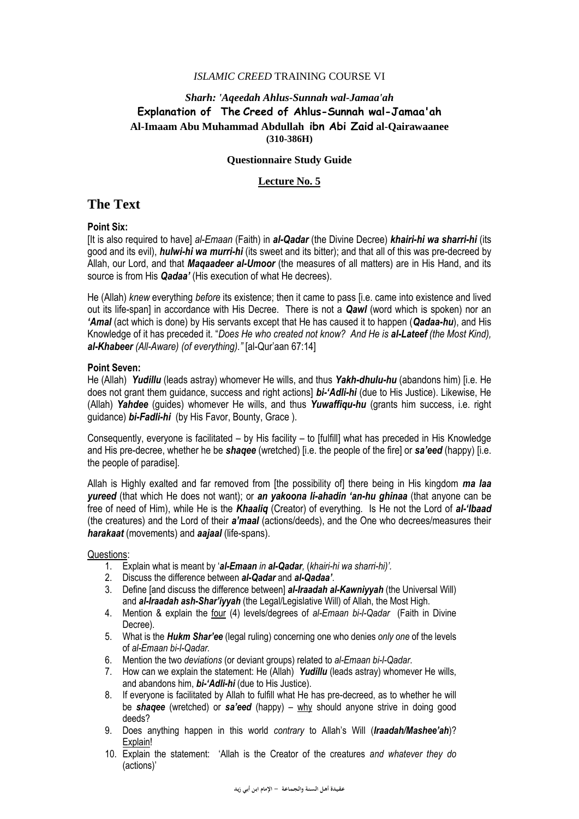# *Sharh: 'Aqeedah Ahlus-Sunnah wal-Jamaa'ah*  **Explanation of The Creed of Ahlus-Sunnah wal-Jamaa'ah Al-Imaam Abu Muhammad Abdullah ibn Abi Zaid al-Qairawaanee (310-386H)**

#### **Questionnaire Study Guide**

### **Lecture No. 5**

# **The Text**

### **Point Six:**

[It is also required to have] *al-Emaan* (Faith) in *al-Qadar* (the Divine Decree) *khairi-hi wa sharri-hi* (its good and its evil), *hulwi-hi wa murri-hi* (its sweet and its bitter); and that all of this was pre-decreed by Allah, our Lord, and that *Maqaadeer al-Umoor* (the measures of all matters) are in His Hand, and its source is from His *Qadaa'* (His execution of what He decrees).

He (Allah) *knew* everything *before* its existence; then it came to pass [i.e. came into existence and lived out its life-span] in accordance with His Decree. There is not a *Qawl* (word which is spoken) nor an *'Amal* (act which is done) by His servants except that He has caused it to happen (*Qadaa-hu*), and His Knowledge of it has preceded it. "*Does He who created not know? And He is al-Lateef (the Most Kind), al-Khabeer (All-Aware) (of everything)."* [al-Qur"aan 67:14]

#### **Point Seven:**

He (Allah) *Yudillu* (leads astray) whomever He wills, and thus *Yakh-dhulu-hu* (abandons him) [i.e. He does not grant them guidance, success and right actions] *bi-'Adli-hi* (due to His Justice). Likewise, He (Allah) *Yahdee* (guides) whomever He wills, and thus *Yuwaffiqu-hu* (grants him success, i.e. right guidance) *bi-Fadli-hi* (by His Favor, Bounty, Grace ).

Consequently, everyone is facilitated – by His facility – to [fulfill] what has preceded in His Knowledge and His pre-decree, whether he be *shaqee* (wretched) [i.e. the people of the fire] or *sa'eed* (happy) [i.e. the people of paradise].

Allah is Highly exalted and far removed from [the possibility of] there being in His kingdom *ma laa yureed* (that which He does not want); or *an yakoona li-ahadin 'an-hu ghinaa* (that anyone can be free of need of Him), while He is the *Khaaliq* (Creator) of everything. Is He not the Lord of *al-'Ibaad* (the creatures) and the Lord of their *a'maal* (actions/deeds), and the One who decrees/measures their *harakaat* (movements) and *aajaal* (life-spans).

- 1. Explain what is meant by "*al-Emaan in al-Qadar,* (*khairi-hi wa sharri-hi)".*
- 2. Discuss the difference between *al-Qadar* and *al-Qadaa'*.
- 3. Define [and discuss the difference between] *al-Iraadah al-Kawniyyah* (the Universal Will) and *al-Iraadah ash-Shar'iyyah* (the Legal/Legislative Will) of Allah, the Most High.
- 4. Mention & explain the four (4) levels/degrees of *al-Emaan bi-l-Qadar* (Faith in Divine Decree).
- 5. What is the *Hukm Shar'ee* (legal ruling) concerning one who denies *only one* of the levels of *al-Emaan bi-l-Qadar.*
- 6. Mention the two *deviations* (or deviant groups) related to *al-Emaan bi-l-Qadar*.
- 7. How can we explain the statement: He (Allah) *Yudillu* (leads astray) whomever He wills, and abandons him, *bi-'Adli-hi* (due to His Justice).
- 8. If everyone is facilitated by Allah to fulfill what He has pre-decreed, as to whether he will be *shaqee* (wretched) or *sa'eed* (happy) – why should anyone strive in doing good deeds?
- 9. Does anything happen in this world *contrary* to Allah"s Will (*Iraadah/Mashee'ah*)? Explain!
- 10. Explain the statement: "Allah is the Creator of the creatures *and whatever they do* (actions)"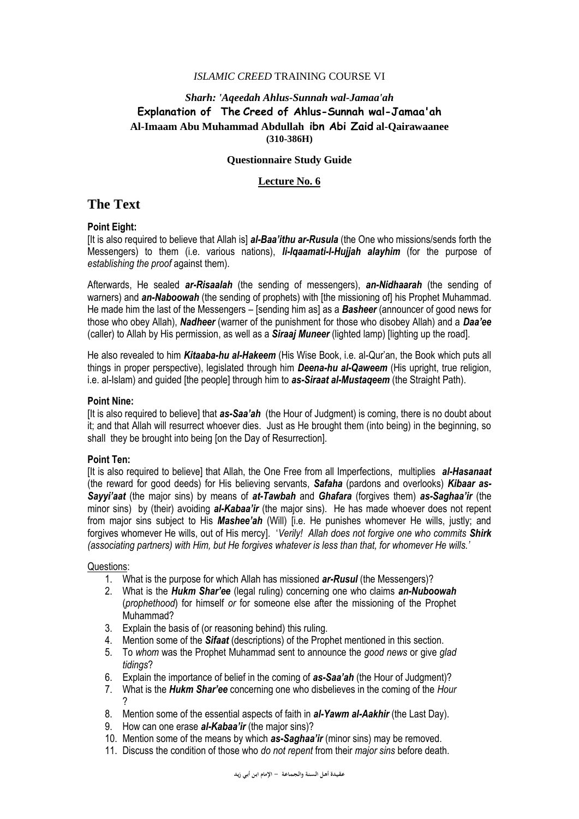# *Sharh: 'Aqeedah Ahlus-Sunnah wal-Jamaa'ah*  **Explanation of The Creed of Ahlus-Sunnah wal-Jamaa'ah Al-Imaam Abu Muhammad Abdullah ibn Abi Zaid al-Qairawaanee (310-386H)**

#### **Questionnaire Study Guide**

#### **Lecture No. 6**

# **The Text**

### **Point Eight:**

[It is also required to believe that Allah is] *al-Baa'ithu ar-Rusula* (the One who missions/sends forth the Messengers) to them (i.e. various nations), *li-Iqaamati-l-Hujjah alayhim* (for the purpose of *establishing the proof* against them).

Afterwards, He sealed *ar-Risaalah* (the sending of messengers), *an-Nidhaarah* (the sending of warners) and *an-Naboowah* (the sending of prophets) with [the missioning of] his Prophet Muhammad. He made him the last of the Messengers – [sending him as] as a *Basheer* (announcer of good news for those who obey Allah), *Nadheer* (warner of the punishment for those who disobey Allah) and a *Daa'ee* (caller) to Allah by His permission, as well as a *Siraaj Muneer* (lighted lamp) [lighting up the road].

He also revealed to him *Kitaaba-hu al-Hakeem* (His Wise Book, i.e. al-Qur"an, the Book which puts all things in proper perspective), legislated through him *Deena-hu al-Qaweem* (His upright, true religion, i.e. al-Islam) and guided [the people] through him to *as-Siraat al-Mustaqeem* (the Straight Path).

#### **Point Nine:**

[It is also required to believe] that *as-Saa'ah* (the Hour of Judgment) is coming, there is no doubt about it; and that Allah will resurrect whoever dies. Just as He brought them (into being) in the beginning, so shall they be brought into being [on the Day of Resurrection].

#### **Point Ten:**

[It is also required to believe] that Allah, the One Free from all Imperfections, multiplies *al-Hasanaat*  (the reward for good deeds) for His believing servants, *Safaha* (pardons and overlooks) *Kibaar as-Sayyi'aat* (the major sins) by means of *at-Tawbah* and *Ghafara* (forgives them) *as-Saghaa'ir* (the minor sins) by (their) avoiding *al-Kabaa'ir* (the major sins). He has made whoever does not repent from major sins subject to His *Mashee'ah* (Will) [i.e. He punishes whomever He wills, justly; and forgives whomever He wills, out of His mercy]. "*Verily! Allah does not forgive one who commits Shirk (associating partners) with Him, but He forgives whatever is less than that, for whomever He wills."*

- 1. What is the purpose for which Allah has missioned *ar-Rusul* (the Messengers)?
- 2. What is the *Hukm Shar'ee* (legal ruling) concerning one who claims *an-Nuboowah*  (*prophethood*) for himself *or* for someone else after the missioning of the Prophet Muhammad?
- 3. Explain the basis of (or reasoning behind) this ruling.
- 4. Mention some of the *Sifaat* (descriptions) of the Prophet mentioned in this section.
- 5. To *whom* was the Prophet Muhammad sent to announce the *good news* or give *glad tidings*?
- 6. Explain the importance of belief in the coming of *as-Saa'ah* (the Hour of Judgment)?
- 7. What is the *Hukm Shar'ee* concerning one who disbelieves in the coming of the *Hour*  ?
- 8. Mention some of the essential aspects of faith in *al-Yawm al-Aakhir* (the Last Day).
- 9. How can one erase *al-Kabaa'ir* (the major sins)?
- 10. Mention some of the means by which *as-Saghaa'ir* (minor sins) may be removed.
- 11. Discuss the condition of those who *do not repent* from their *major sins* before death.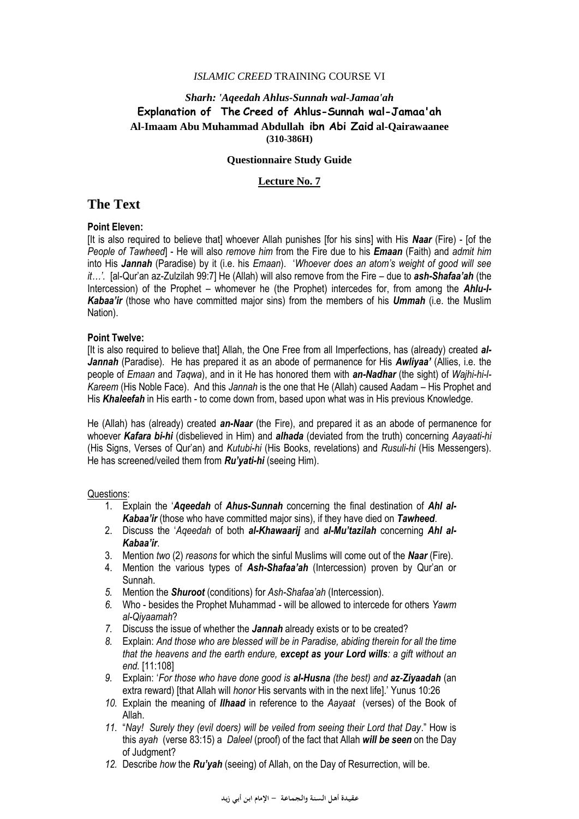# *Sharh: 'Aqeedah Ahlus-Sunnah wal-Jamaa'ah*  **Explanation of The Creed of Ahlus-Sunnah wal-Jamaa'ah Al-Imaam Abu Muhammad Abdullah ibn Abi Zaid al-Qairawaanee (310-386H)**

#### **Questionnaire Study Guide**

#### **Lecture No. 7**

# **The Text**

### **Point Eleven:**

[It is also required to believe that] whoever Allah punishes [for his sins] with His *Naar* (Fire) - [of the *People of Tawheed*] - He will also *remove him* from the Fire due to his *Emaan* (Faith) and *admit him* into His *Jannah* (Paradise) by it (i.e. his *Emaan*). "*Whoever does an atom"s weight of good will see it…"*. [al-Qur"an az-Zulzilah 99:7] He (Allah) will also remove from the Fire – due to *ash-Shafaa'ah* (the Intercession) of the Prophet – whomever he (the Prophet) intercedes for, from among the *Ahlu-l-Kabaa'ir* (those who have committed major sins) from the members of his *Ummah* (i.e. the Muslim Nation).

#### **Point Twelve:**

[It is also required to believe that] Allah, the One Free from all Imperfections, has (already) created al-*Jannah* (Paradise). He has prepared it as an abode of permanence for His *Awliyaa'* (Allies, i.e. the people of *Emaan* and *Taqwa*), and in it He has honored them with *an-Nadhar* (the sight) of *Wajhi-hi-l-Kareem* (His Noble Face). And this *Jannah* is the one that He (Allah) caused Aadam – His Prophet and His *Khaleefah* in His earth - to come down from, based upon what was in His previous Knowledge.

He (Allah) has (already) created *an-Naar* (the Fire), and prepared it as an abode of permanence for whoever *Kafara bi-hi* (disbelieved in Him) and *alhada* (deviated from the truth) concerning *Aayaati-hi* (His Signs, Verses of Qur"an) and *Kutubi-hi* (His Books, revelations) and *Rusuli-hi* (His Messengers). He has screened/veiled them from *Ru'yati-hi* (seeing Him).

- 1. Explain the "*Aqeedah* of *Ahus-Sunnah* concerning the final destination of *Ahl al-Kabaa'ir* (those who have committed major sins), if they have died on *Tawheed*.
- 2. Discuss the "*Aqeedah* of both *al-Khawaarij* and *al-Mu'tazilah* concerning *Ahl al-Kabaa'ir*.
- 3. Mention *two* (2) *reasons* for which the sinful Muslims will come out of the *Naar* (Fire).
- 4. Mention the various types of *Ash-Shafaa'ah* (Intercession) proven by Qur"an or Sunnah.
- *5.* Mention the *Shuroot* (conditions) for *Ash-Shafaa"ah* (Intercession).
- *6.* Who besides the Prophet Muhammad will be allowed to intercede for others *Yawm al-Qiyaamah*?
- *7.* Discuss the issue of whether the *Jannah* already exists or to be created?
- *8.* Explain: *And those who are blessed will be in Paradise, abiding therein for all the time that the heavens and the earth endure, except as your Lord wills: a gift without an end.* [11:108]
- *9.* Explain: "*For those who have done good is al-Husna (the best) and az-Ziyaadah* (an extra reward) [that Allah will *honor* His servants with in the next life]." Yunus 10:26
- *10.* Explain the meaning of *Ilhaad* in reference to the *Aayaat* (verses) of the Book of Allah.
- *11.* "*Nay! Surely they (evil doers) will be veiled from seeing their Lord that Day*." How is this *ayah* (verse 83:15) a *Daleel* (proof) of the fact that Allah *will be seen* on the Day of Judgment?
- *12.* Describe *how* the *Ru'yah* (seeing) of Allah, on the Day of Resurrection, will be.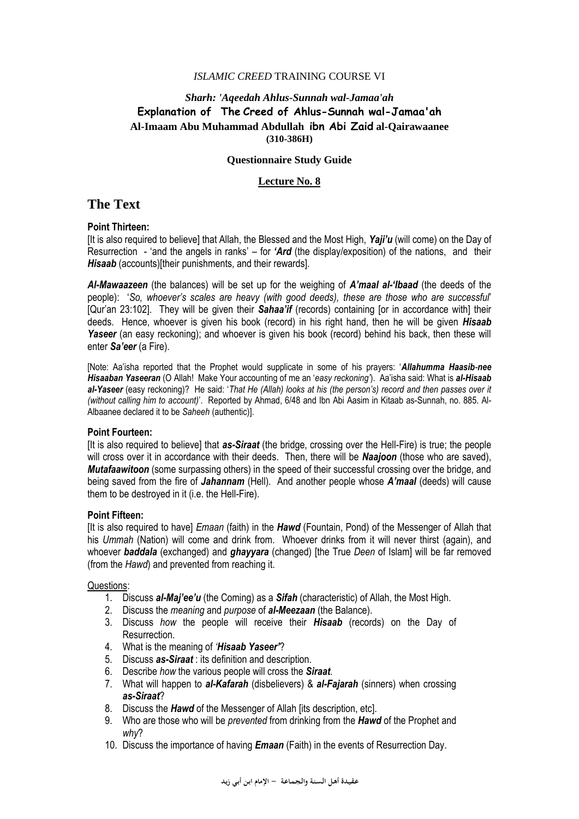# *Sharh: 'Aqeedah Ahlus-Sunnah wal-Jamaa'ah*  **Explanation of The Creed of Ahlus-Sunnah wal-Jamaa'ah Al-Imaam Abu Muhammad Abdullah ibn Abi Zaid al-Qairawaanee (310-386H)**

#### **Questionnaire Study Guide**

#### **Lecture No. 8**

# **The Text**

#### **Point Thirteen:**

[It is also required to believe] that Allah, the Blessed and the Most High, *Yaji'u* (will come) on the Day of Resurrection - "and the angels in ranks" – for *'Ard* (the display/exposition) of the nations, and their **Hisaab** (accounts)[their punishments, and their rewards].

*Al-Mawaazeen* (the balances) will be set up for the weighing of *A'maal al-'Ibaad* (the deeds of the people): "*So, whoever"s scales are heavy (with good deeds), these are those who are successful*" [Qur"an 23:102]. They will be given their *Sahaa'if* (records) containing [or in accordance with] their deeds. Hence, whoever is given his book (record) in his right hand, then he will be given *Hisaab* Yaseer (an easy reckoning); and whoever is given his book (record) behind his back, then these will enter *Sa'eer* (a Fire).

[Note: Aa"isha reported that the Prophet would supplicate in some of his prayers: "*Allahumma Haasib-nee Hisaaban Yaseeran* (O Allah! Make Your accounting of me an "*easy reckoning"*). Aa"isha said: What is *al-Hisaab al-Yaseer* (easy reckoning)? He said: "*That He (Allah) looks at his (the person"s) record and then passes over it (without calling him to account)*". Reported by Ahmad, 6/48 and Ibn Abi Aasim in Kitaab as-Sunnah, no. 885. Al-Albaanee declared it to be *Saheeh* (authentic)].

#### **Point Fourteen:**

[It is also required to believe] that *as-Siraat* (the bridge, crossing over the Hell-Fire) is true; the people will cross over it in accordance with their deeds. Then, there will be *Naajoon* (those who are saved), *Mutafaawitoon* (some surpassing others) in the speed of their successful crossing over the bridge, and being saved from the fire of *Jahannam* (Hell). And another people whose *A'maal* (deeds) will cause them to be destroyed in it (i.e. the Hell-Fire).

#### **Point Fifteen:**

[It is also required to have] *Emaan* (faith) in the *Hawd* (Fountain, Pond) of the Messenger of Allah that his *Ummah* (Nation) will come and drink from. Whoever drinks from it will never thirst (again), and whoever *baddala* (exchanged) and *ghayyara* (changed) [the True *Deen* of Islam] will be far removed (from the *Hawd*) and prevented from reaching it.

- 1. Discuss *al-Maj'ee'u* (the Coming) as a *Sifah* (characteristic) of Allah, the Most High.
- 2. Discuss the *meaning* and *purpose* of *al-Meezaan* (the Balance).
- 3. Discuss *how* the people will receive their *Hisaab* (records) on the Day of Resurrection.
- 4. What is the meaning of *"Hisaab Yaseer'*?
- 5. Discuss *as-Siraat* : its definition and description.
- 6. Describe *how* the various people will cross the *Siraat*.
- 7. What will happen to *al-Kafarah* (disbelievers) & *al-Fajarah* (sinners) when crossing *as-Siraat*?
- 8. Discuss the *Hawd* of the Messenger of Allah [its description, etc].
- 9. Who are those who will be *prevented* from drinking from the *Hawd* of the Prophet and *why*?
- 10. Discuss the importance of having *Emaan* (Faith) in the events of Resurrection Day.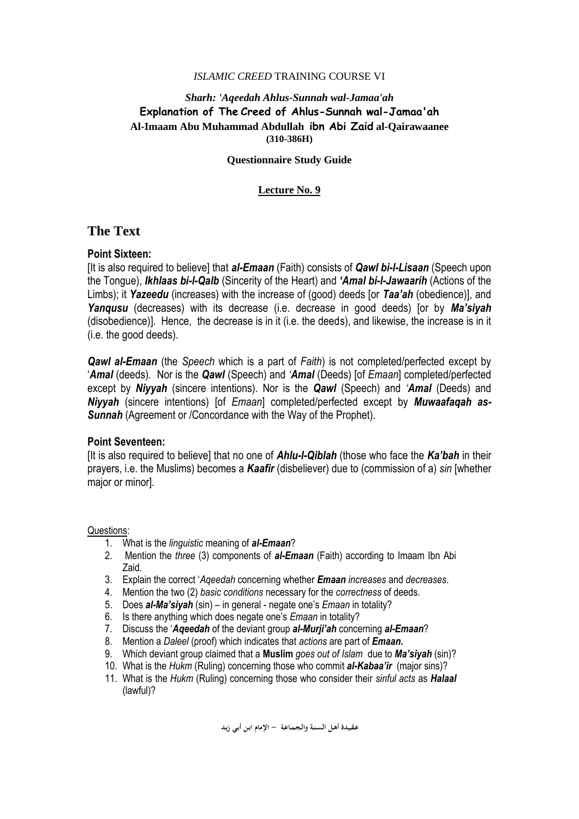# *Sharh: 'Aqeedah Ahlus-Sunnah wal-Jamaa'ah*  **Explanation of The Creed of Ahlus-Sunnah wal-Jamaa'ah Al-Imaam Abu Muhammad Abdullah ibn Abi Zaid al-Qairawaanee (310-386H)**

#### **Questionnaire Study Guide**

### **Lecture No. 9**

# **The Text**

### **Point Sixteen:**

[It is also required to believe] that *al-Emaan* (Faith) consists of *Qawl bi-l-Lisaan* (Speech upon the Tongue), *Ikhlaas bi-l-Qalb* (Sincerity of the Heart) and *'Amal bi-l-Jawaarih* (Actions of the Limbs); it *Yazeedu* (increases) with the increase of (good) deeds [or *Taa'ah* (obedience)], and *Yanqusu* (decreases) with its decrease (i.e. decrease in good deeds) [or by *Ma'siyah* (disobedience)]. Hence, the decrease is in it (i.e. the deeds), and likewise, the increase is in it (i.e. the good deeds).

*Qawl al-Emaan* (the *Speech* which is a part of *Faith*) is not completed/perfected except by "*Amal* (deeds). Nor is the *Qawl* (Speech) and *"Amal* (Deeds) [of *Emaan*] completed/perfected except by *Niyyah* (sincere intentions). Nor is the *Qawl* (Speech) and *"Amal* (Deeds) and *Niyyah* (sincere intentions) [of *Emaan*] completed/perfected except by *Muwaafaqah as-Sunnah* (Agreement or /Concordance with the Way of the Prophet).

### **Point Seventeen:**

[It is also required to believe] that no one of *Ahlu-l-Qiblah* (those who face the *Ka'bah* in their prayers, i.e. the Muslims) becomes a *Kaafir* (disbeliever) due to (commission of a) *sin* [whether major or minor]*.*

#### Questions:

- 1. What is the *linguistic* meaning of *al-Emaan*?
- 2. Mention the *three* (3) components of *al-Emaan* (Faith) according to Imaam Ibn Abi Zaid.
- 3. Explain the correct "*Aqeedah* concerning whether *Emaan increases* and *decreases*.
- 4. Mention the two (2) *basic conditions* necessary for the *correctness* of deeds.
- 5. Does *al-Ma'siyah* (sin) in general negate one"s *Emaan* in totality?
- 6. Is there anything which does negate one"s *Emaan* in totality?
- 7. Discuss the "*Aqeedah* of the deviant group *al-Murji'ah* concerning *al-Emaan*?
- 8. Mention a *Daleel* (proof) which indicates that *actions* are part of *Emaan.*
- 9. Which deviant group claimed that a **Muslim** *goes out of Islam* due to *Ma'siyah* (sin)?
- 10. What is the *Hukm* (Ruling) concerning those who commit *al-Kabaa'ir* (major sins)?
- 11. What is the *Hukm* (Ruling) concerning those who consider their *sinful acts* as *Halaal* (lawful)?

**عـقـيـدة أهـل الـسـنـة والـجـمـاعـة - اإلمام ابـن أبـي زيـد**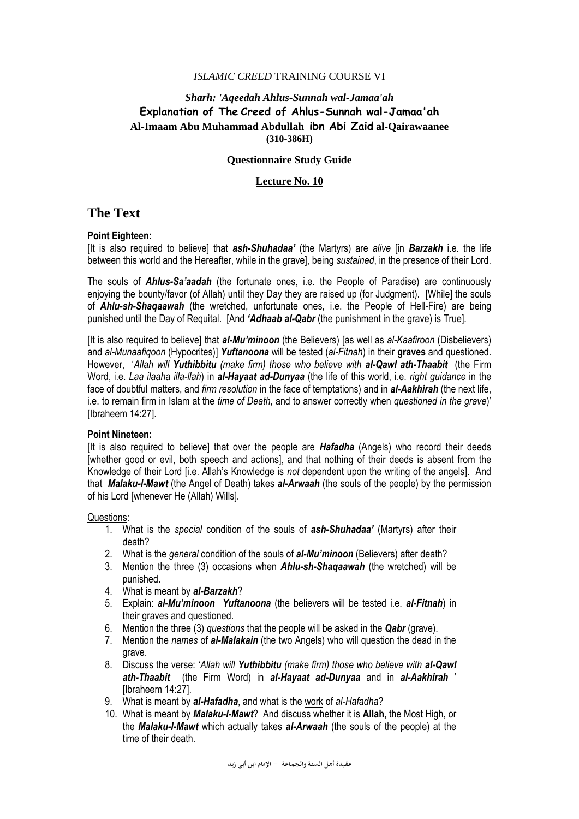# *Sharh: 'Aqeedah Ahlus-Sunnah wal-Jamaa'ah*  **Explanation of The Creed of Ahlus-Sunnah wal-Jamaa'ah Al-Imaam Abu Muhammad Abdullah ibn Abi Zaid al-Qairawaanee (310-386H)**

#### **Questionnaire Study Guide**

### **Lecture No. 10**

# **The Text**

#### **Point Eighteen:**

[It is also required to believe] that *ash-Shuhadaa'* (the Martyrs) are *alive* [in *Barzakh* i.e. the life between this world and the Hereafter, while in the grave], being *sustained*, in the presence of their Lord.

The souls of *Ahlus-Sa'aadah* (the fortunate ones, i.e. the People of Paradise) are continuously enjoying the bounty/favor (of Allah) until they Day they are raised up (for Judgment). [While] the souls of *Ahlu-sh-Shaqaawah* (the wretched, unfortunate ones, i.e. the People of Hell-Fire) are being punished until the Day of Requital. [And *'Adhaab al-Qabr* (the punishment in the grave) is True].

[It is also required to believe] that *al-Mu'minoon* (the Believers) [as well as *al-Kaafiroon* (Disbelievers) and *al-Munaafiqoon* (Hypocrites)] *Yuftanoona* will be tested (*al-Fitnah*) in their **graves** and questioned. However, "*Allah will Yuthibbitu (make firm) those who believe with al-Qawl ath-Thaabit* (the Firm Word, i.e. *Laa ilaaha illa-llah*) in *al-Hayaat ad-Dunyaa* (the life of this world, i.e. *right guidance* in the face of doubtful matters, and *firm resolution* in the face of temptations) and in *al-Aakhirah* (the next life, i.e. to remain firm in Islam at the *time of Death*, and to answer correctly when *questioned in the grave*)" [Ibraheem 14:27].

#### **Point Nineteen:**

[It is also required to believe] that over the people are *Hafadha* (Angels) who record their deeds [whether good or evil, both speech and actions], and that nothing of their deeds is absent from the Knowledge of their Lord [i.e. Allah"s Knowledge is *not* dependent upon the writing of the angels]. And that *Malaku-l-Mawt* (the Angel of Death) takes *al-Arwaah* (the souls of the people) by the permission of his Lord [whenever He (Allah) Wills].

- 1. What is the *special* condition of the souls of *ash-Shuhadaa'* (Martyrs) after their death?
- 2. What is the *general* condition of the souls of *al-Mu'minoon* (Believers) after death?
- 3. Mention the three (3) occasions when *Ahlu-sh-Shaqaawah* (the wretched) will be punished.
- 4. What is meant by *al-Barzakh*?
- 5. Explain: *al-Mu'minoon Yuftanoona* (the believers will be tested i.e. *al-Fitnah*) in their graves and questioned.
- 6. Mention the three (3) *questions* that the people will be asked in the *Qabr* (grave).
- 7. Mention the *names* of *al-Malakain* (the two Angels) who will question the dead in the grave.
- 8. Discuss the verse: "*Allah will Yuthibbitu (make firm) those who believe with al-Qawl ath-Thaabit* (the Firm Word) in *al-Hayaat ad-Dunyaa* and in *al-Aakhirah* " [Ibraheem 14:27].
- 9. What is meant by *al-Hafadha*, and what is the work of *al-Hafadha*?
- 10. What is meant by *Malaku-l-Mawt*? And discuss whether it is **Allah**, the Most High, or the *Malaku-l-Mawt* which actually takes *al-Arwaah* (the souls of the people) at the time of their death